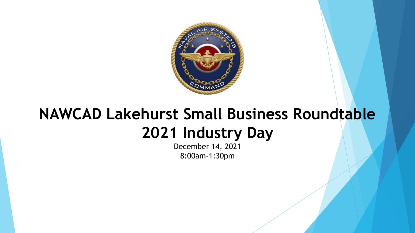

## **NAWCAD Lakehurst Small Business Roundtable 2021 Industry Day**

December 14, 2021 8:00am-1:30pm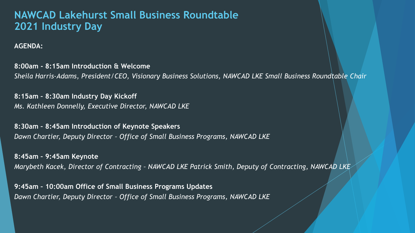## **NAWCAD Lakehurst Small Business Roundtable 2021 Industry Day**

## **AGENDA:**

**8:00am - 8:15am Introduction & Welcome** *Sheila Harris-Adams, President/CEO, Visionary Business Solutions, NAWCAD LKE Small Business Roundtable Chair*

**8:15am – 8:30am Industry Day Kickoff** *Ms. Kathleen Donnelly, Executive Director, NAWCAD LKE*

**8:30am – 8:45am Introduction of Keynote Speakers** *Dawn Chartier, Deputy Director – Office of Small Business Programs, NAWCAD LKE*

**8:45am – 9:45am Keynote** *Marybeth Kacek, Director of Contracting – NAWCAD LKE Patrick Smith, Deputy of Contracting, NAWCAD LKE*

**9:45am – 10:00am Office of Small Business Programs Updates** *Dawn Chartier, Deputy Director – Office of Small Business Programs, NAWCAD LKE*